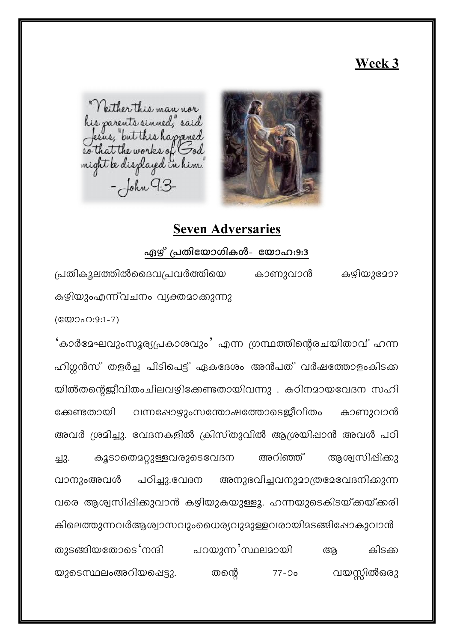# Week 3



Neither this man nor is parents sinned," said<br>fesus, "but this happened eo that the works of God<br>might be diszlayed in him!  $-John G.3-$ 

# **Seven Adversaries**

#### ഏഴ് പ്രതിയോഗികൾ- യോഹ:9:3

പ്രതികൂലത്തിൽദൈവപ്രവർത്തിയെ കാണുവാൻ കഴിയുമോ? കഴിയുംഎന്ന്വചനം വ്യക്തമാക്കുന്നു  $($  @  $0.0:9:1-7)$ 

<sup>'</sup>കാർദേഘവുംസൂര്യപ്രകാശവും' എന്ന ഗ്രന്ഥത്തിന്റെരചയിതാവ് ഹന്ന ഹിഗ്ലൻസ് തളർച്ച പിടിപെട്ട് ഏകദേശം അൻപത് വർഷത്തോളംകിടക്ക യിൽതന്റെജീവിതംചിലവഴിക്കേണ്ടതായിവന്നു . കഠിനമായവേദന സഹി വന്നപ്പോഴുംസന്തോഷത്തോടെജീവിതം ക്കേണ്ടതായി കാണുവാൻ അവർ ശ്രമിച്ചു. വേദനകളിൽ ക്രിസ്തുവിൽ ആശ്രയിപ്പാൻ അവൾ പഠി കൂടാതൊറ്റുള്ളവരുടെവേദന അറിഞ്ഞ് ആശ്വസിപ്പിക്കു 뇌3. വാനുംഅവൾ പഠിച്ചു.വേദന അനുഭവിച്ചവനുമാത്രമേവേദനിക്കുന്ന വരെ ആശ്വസിപ്പിക്കുവാൻ കഴിയുകയുള്ളൂ. ഹന്നയുടെകിടയ്ക്കയ്ക്കരി കിലെത്തുന്നവർആശ്വാസവുംധൈര്യവുമുള്ളവരായിമടങ്ങിപ്പോകുവാൻ തുടങ്ങിയതോടെ നന്ദി പറയുന്ന സ്ഥലമായി കിടക്ക അ വയസ്സിൽഒരു യുടെസ്ഥലംഅറിയപ്പെട്ടു. തന്തെ  $77-20$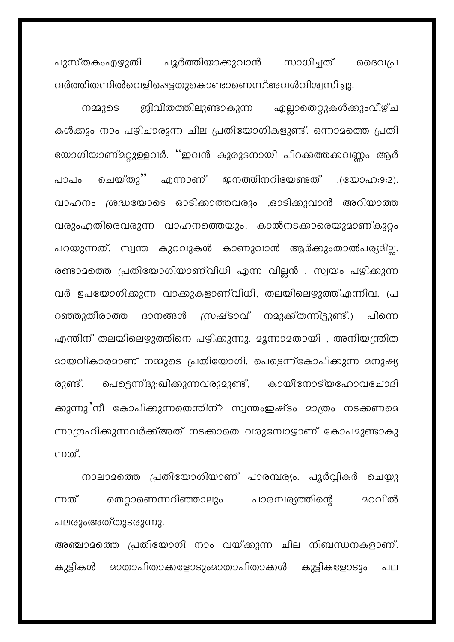പുസ്തകംഎഴുതി പൂർത്തിയാക്കുവാൻ സാധിച്ചത് ദൈവപ്ര വർത്തിതന്നിൽവെളിപ്പെട്ടതുകൊണ്ടാണെന്ന് അവൾവിശ്വസിച്ചു.

ജീവിതത്തിലുണ്ടാകുന്ന എല്ലാതെറ്റുകൾക്കുംവീഴ്ച നമ്മുടെ കൾക്കും നാം പഴിചാരുന്ന ചില പ്രതിയോഗികളുണ്ട്. ഒന്നാമത്തെ പ്രതി യോഗിയാണ്മറ്റുള്ളവർ. ''ഇവൻ കുരുടനായി പിറക്കത്തക്കവണ്ണം ആർ ചെയ്തു'' എന്നാണ് ഇനത്തിനറിയേണ്ടത് .(യോഹ:9:2).  $0.12010$ വാഹനം ശ്രദ്ധയോടെ ഓടിക്കാത്തവരും ,ഓടിക്കുവാൻ അറിയാത്ത വരുംഎതിരെവരുന്ന വാഹനത്തെയും, കാൽനടക്കാരെയുമാണ്കുറ്റം പറയുന്നത്. സ്വന്ത കുറവുകൾ കാണുവാൻ ആർക്കുംതാൽപര്യമില്ല. രണ്ടാമത്തെ പ്രതിയോഗിയാണ്വിധി എന്ന വില്ലൻ . സ്വയം പഴിക്കുന്ന വർ ഉപയോഗിക്കുന്ന വാക്കുകളാണ്വിധി, തലയിലെഴുത്ത്എന്നിവ. (പ റഞ്ഞുതീരാത്ത ദാനങ്ങൾ സ്രഷ്ടാവ് നമുക്ക്തന്നിട്ടുണ്ട്.) പിന്നെ എന്തിന് തലയിലെഴുത്തിനെ പഴിക്കുന്നു. മൂന്നാമതായി , അനിയന്ത്രിത <u>മായവികാരമാണ് നമ്മുടെ പ്രതിയോഗി. പെട്ടെന്ന്കോപിക്കുന്ന മനുഷ്യ</u> പെട്ടെന്ന്ദു:ഖിക്കുന്നവരുമുണ്ട്, കായീനോട്യഹോവചോദി രുണ്ട്. ക്കുന്നു'നീ കോപിക്കുന്നതെന്തിന്? സ്വന്തംഇഷ്ടം മാത്രം നടക്കണമെ ന്നാഗ്രഹിക്കുന്നവർക്ക്അത് നടക്കാതെ വരുമ്പോഴാണ് കോപമുണ്ടാകു ന്നത്.

നാലാമത്തെ പ്രതിയോഗിയാണ് പാരമ്പര്യം. പൂർവ്വികർ ചെയ്യു തെറ്റാണെന്നറിഞ്ഞാലും പാരമ്പര്യത്തിന്റെ **മറവിൽ** ന്നത് പലരുംഅത്തുടരുന്നു.

അഞ്ചാമത്തെ പ്രതിയോഗി നാം വയ്ക്കുന്ന ചില നിബന്ധനകളാണ്. കുട്ടികൾ മാതാപിതാക്കളോടുംമാതാപിതാക്കൾ കുട്ടികളോടും പല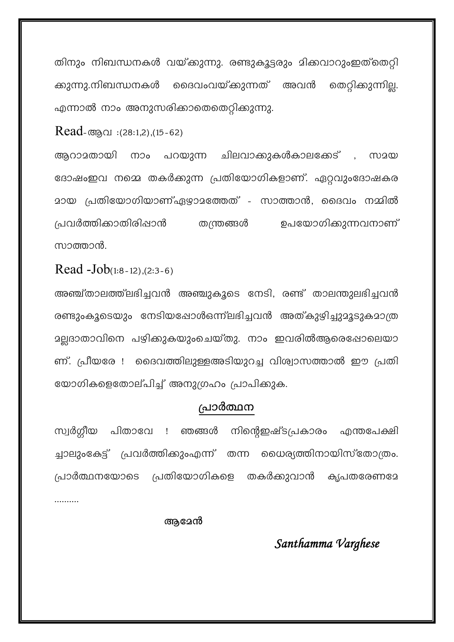തിനും നിബന്ധനകൾ വയ്ക്കുന്നു. രണ്ടുകൂട്ടരും മിക്കവാറുംഇത്തെറ്റി ക്കുന്നു.നിബന്ധനകൾ ദൈവംവയ്ക്കുന്നത് അവൻ തെറ്റിക്കുന്നില്ല. എന്നാൽ നാം അനുസരിക്കാതെതെറ്റിക്കുന്നു.

 $Read$ -ആവ : $(28:1,2)$ , $(15-62)$ 

ആറാമതായി നാം പറയുന്ന ചിലവാക്കുകൾകാലക്കേട് , സായ ദോഷംഇവ നമ്മെ തകർക്കുന്ന പ്രതിയോഗികളാണ്. ഏറ്റവുംദോഷകര മായ പ്രതിയോഗിയാണ്ഏഴാമത്തേത് - സാത്താൻ, ദൈവം നമ്മിൽ പ്രവർത്തിക്കാതിരിഷാൻ തന്ത്രങ്ങൾ ഉപയോഗികുുന്നവനാണ് സാത്താൻ.

Read -Job(1:8-12),(2:3-6)

അഞ്ച്താലത്ത്ലഭിച്ചവൻ അഞ്ചുകൂടെ നേടി, രണ്ട് താലന്തുലഭിച്ചവൻ രണ്ടുംകൂടെയും നേടിയപ്പോൾഒന്ന്ലഭിച്ചവൻ അത്കുഴിച്ചുമൂടുകമാത്ര മല്ലദാതാവിനെ പഴിക്കുകയുംചെയ്തു. നാം ഇവരിൽആരെഷോലെയാ ണ്. പ്രീയരേ ! ദൈവത്തിലുള്ളഅടിയുറച്ച വിശ്വാസത്താൽ ഈ പ്രതി യോഗികളെതോല്പിച്ച് അനുഗ്രഹം പ്രാപിക്കുക.

#### പ്രാർത്ഥന

സ്വർഗ്ഗീയ പിതാവേ ! ഞങ്ങൾ നിന്റെഇഷ്ടപ്രകാരം എന്തപേക്ഷി ച്ചാലുംകേട്ട് പ്രവർത്തിക്കുംഎന്ന് തന്ന ധൈര്യത്തിനായിസ്തോത്രം. തകർക്കുവാൻ കൃപതരേണദേ പ്രാർത്ഥനയോടെ പ്രതിയോഗികളെ

ആമേൻ

### Santhamma Varghese